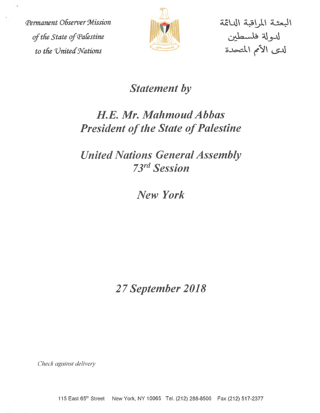Permanent Observer Mission cftheState of(Palestine <sup>I</sup>' ffcjff'OiSea—As ^ to the United Nations



البعثة المراقبة الدائمة

## Statement by

# H.E. Mr. Mahmoud Abbas **President of the State of Palestine**

United Nations General Assembly 73<sup>rd</sup> Session

New York

27 September 2018

Check against delivery

115 East 65^^ Street New York. NY 10065 Tel. (212) 288-8500 Fax (212) 517-2377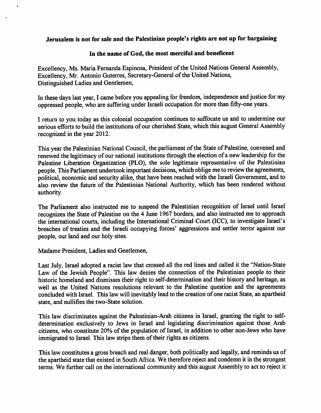#### Jerusalem is not for sale and the Palestinian people's rights are not up for bargaining

#### In the name of God, the most merciful and beneficent

Excellency, Ms. Maria Fernanda Espinosa, President of the United Nations General Assembly, Excellency, Mr. Antonio Guterres, Secretary-General of the United Nations, Distinguished Ladies and Gentlemen,

In these days last year, I came before you appealing for freedom, independence and justice for my oppressed people, who are suffering under Israeli occupation formore than fifly-one years.

I return to you today as this colonial occupation continues to suffocate us and to undermine our serious efforts to build the institutions of our cherished State, which this august General Assembly recognized in the year 2012.

This year the Palestinian National Council, the parliament of the State of Palestine, convened and renewed the legitimacy of our national institutions through the election of a newleadership forthe Palestine Liberation Organization (PLO), the sole legitimate representative of the Palestinian people. This Parliament undertook important decisions, which oblige me to review the agreements, political, economic and security alike, that have been reached with the Israeli Government, and to also review the future of the Palestinian National Authority, which has been rendered without authority.

The Parliament also instructed me to suspend the Palestinian recognition of Israel until Israel recognizes the State of Palestine on the 4 June 1967 borders, and also instructed meto approach the international courts, including the International Criminal Court (ICC), to investigate Israel's breaches of treaties and the Israeli occupying forces' aggressions and settler terror against our people, our land and our holy sites.

Madame President, Ladies and Gentlemen,

Last July, Israel adopted a racist law that crossed all the red lines and called it the "Nation-State" Law of the Jewish People". This law denies the connection of the Palestinian people to their historic homeland and dismisses their right to self-determination and their history and heritage, as well as the United Nations resolutions relevant to the Palestine question and the agreements concluded with Israel. This law will inevitably lead to the creation of one racist State, an apartheid state, and nullifies the two-State solution.

This law discriminates against the Palestinian-Arab citizens in Israel, granting the right to selfdetermination exclusively to Jews in Israel and legislating discrimination against those Arab citizens, who constitute 20% of the population of Israel, in addition to other non-Jews who have immigrated to Israel. This law strips them of their rights as citizens.

This law constitutes a gross breach and real danger, both politically and legally, and reminds us of the apartheid state that existed in South Africa. We therefore reject and condemn it in the strongest terms. We further call on the international community and this august Assembly to act to reject it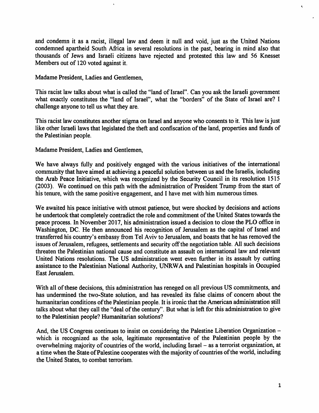and condemn it as a racist, illegal law and deem it null and void, just as the United Nations condemned apartheid South Africa in several resolutions in the past, bearing in mind also that thousands of Jews and Israeli citizens have rejected and protested this law and 56 Knesset Members out of 120 voted against it.

Madame President, Ladies and Gentlemen,

This racist law talks about what is called the "land of Israel". Can you ask the Israeli government what exactly constitutes the "land of Israel", what the "borders" of the State of Israel are? I challenge anyone to tell us what they are.

This racist law constitutes another stigma on Israel and anyone who consents to it. This law is just like other Israeli laws that legislated the theft and confiscation of the land, properties and funds of the Palestinian people.

Madame President, Ladies and Gentlemen,

We have always fully and positively engaged with the various initiatives of the international community that have aimed at achieving a peaceful solution between us and the Israelis, including the Arab Peace Initiative, which was recognized by the Security Council in its resolution 1515 (2003). We continued on this path with the administration of President Trump from the start of his tenure, with the same positive engagement, and I have met with him numerous times.

We awaited his peace initiative with utmost patience, but were shocked by decisions and actions he undertook that completely contradict the role and commitment of the United States towards the peace process. In November 2017, his administration issued a decision to close the PLO office in Washington, DC. He then announced his recognition of Jerusalem as the capital of Israel and transferredhis country's embassy from Tel Aviv to Jerusalem, and boasts that he has removed the issues of Jerusalem, refugees, settlements and security off the negotiation table. All such decisions threaten the Palestinian national cause and constitute an assault on international law and relevant United Nations resolutions. The US administration went even further in its assault by cutting assistance to the Palestinian National Authority, UNRWA and Palestinian hospitals in Occupied East Jerusalem.

With all of these decisions, this administration has reneged on all previous US commitments, and has undermined the two-State solution, and has revealed its false claims of concern about the humanitarian conditions of the Palestinian people. It is ironic that the American administration still talks about what they call the "deal of the century". But what is left for this administration to give to the Palestinian people? Humanitarian solutions?

And, the US Congress continues to insist on considering the Palestine Liberation Organization which is recognized as the sole, legitimate representative of the Palestinian people by the overwhelming majority of countries of the world, including Israel - as a terrorist organization, at a time when the State of Palestine cooperates with the majority of countries of the world, including the United States, to combat terrorism.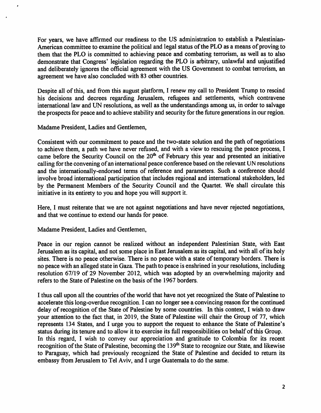For years, we have affirmed our readiness to the US administration to establish a Palestinian-American committee to examine the political and legal status of the PLO as a means of proving to them that the FLO is committed to achieving peace and combating terrorism, as well as to also demonstrate that Congress' legislation regarding the FLO is arbitrary, unlawful and unjustified and deliberately ignores the official agreement with the US Government to combat terrorism, an agreement we have also concluded with 83 other countries.

Despite all of this, and from this august platform, I renew my call to President Trump to rescind his decisions and decrees regarding Jerusalem, refugees and settlements, which contravene international law and UN resolutions, as well as the understandings among us, in order to salvage the prospects for peace and to achieve stability and security for the future generations in our region.

Madame President, Ladies and Gentlemen,

Consistent with our commitment to peace and the two-state solution and the path of negotiations to achieve them, a path we have never refused, and with a view to rescuing the peace process, I came before the Security Council on the 20<sup>th</sup> of February this year and presented an initiative calling for the convening of an international peace conference based on the relevant UN resolutions and the internationally-endorsed terms of reference and parameters. Such a conference should involve broad international participation that includes regional and international stakeholders, led by the Permanent Members of the Security Council and the Quartet. We shall circulate this initiative in its entirety to you and hope you will support it.

Here, I must reiterate that we are not against negotiations and have never rejected negotiations, and that we continue to extend our hands for peace.

Madame President, Ladies and Gentlemen,

Peace in our region cannot be realized without an independent Palestinian State, with East Jerusalem as its capital, and not some place in East Jerusalem as its capital, and with all of its holy sites. There is no peace otherwise. There is no peace with a state of temporary borders. There is no peace with an alleged state in Gaza. The path to peace is enshrined in your resolutions, including resolution 67/19 of 29 November 2012, which was adopted by an overwhelming majority and refers to the State of Palestine on the basis of the 1967 borders.

I thus call upon all the countries of the world that have not yet recognized the State of Palestine to accelerate this long-overdue recognition. I can no longer see a convincing reason for the continued delay of recognition of the State of Palestine by some countries. In this context, I wish to draw your attention to the fact that, in 2019, the State of Palestine will chair the Group of 77, which represents 134 States, and I urge you to support the request to enhance the State of Palestine's status during its tenure and to allow it to exercise its fiill responsibilities on behalf ofthis Group. In this regard, I wish to convey our appreciation and gratitude to Colombia for its recent recognition of the State of Palestine, becoming the 139<sup>th</sup> State to recognize our State, and likewise to Paraguay, which had previously recognized the State of Palestine and decided to return its embassy from Jerusalem to Tel Aviv, and I urge Guatemala to do the same.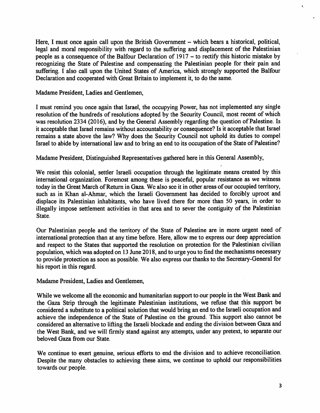Here, I must once again call upon the British Government – which bears a historical, political, legal and moral responsibility with regard to the suffering and displacement of the Palestinian people as a consequence of the Balfour Declaration of  $1917 -$  to rectify this historic mistake by recognizing the State of Palestine and compensating the Palestinian people for their pain and suffering. I also call upon the United States of America, which strongly supported the Balfour Declaration and cooperated with Great Britain to implement it, to do the same.

Madame President, Ladies and Gentlemen,

I must remind you once again that Israel, the occupying Power, has not implemented any single resolution of the hundreds of resolutions adopted by the Security Council, most recent of which was resolution 2334 (2016), and by the General Assembly regarding the question of Palestine. Is it acceptable that Israel remains without accountability or consequence? Is it acceptable that Israel remains a state above the law? Why does the Security Council not uphold its duties to compel Israel to abide by international law and to bring an end to its occupation of the State of Palestine?

Madame President, Distinguished Representatives gathered here in this General Assembly,

We resist this colonial, settler Israeli occupation through the legitimate means created by this international organization. Foremost among these is peaceful, popular resistance as we witness today in the Great March of Return in Gaza. We also see it in other areas of our occupied territory, such as in Khan al-Ahmar, which the Israeli Government has decided to forcibly uproot and displace its Palestinian inhabitants, who have lived there for more than 50 years, in order to illegally impose settlement activities in that area and to sever the contiguity of the Palestinian State.

Our Palestinian people and the territory of the State of Palestine are in more urgent need of international protection than at anytime before. Here, allow me to express our deep appreciation and respect to the States that supported the resolution on protection for the Palestinian civilian population, which was adopted on 13 June 2018, and to urge you to find the mechanisms necessary to provide protection as soon as possible. We also express our thanks to the Secretary-General for his report in this regard.

Madame President, Ladies and Gentlemen,

While we welcome all the economic and humanitarian support to our people in the West Bank and the Gaza Strip through the legitimate Palestinian institutions, we refuse that this support be considered a substitute to a political solution that would bring an end to the Israeli occupation and achieve the independence of the State of Palestine on the ground. This support also cannot be considered an alternative to lifting the Israeli blockade and ending the division between Gaza and the West Bank, and we will firmly stand against any attempts, under any pretext, to separate our beloved Gaza from our State.

We continue to exert genuine, serious efforts to end the division and to achieve reconciliation. Despite the many obstacles to achieving these aims, we continue to uphold our responsibilities towards our people.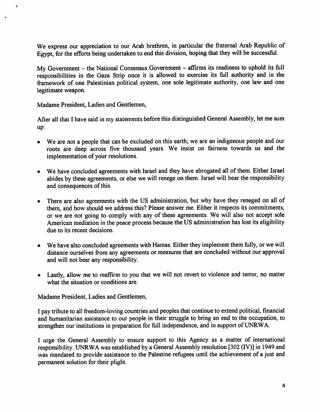We express our appreciation to our Arab brethren, in particular the fraternal Arab Republic of Egypt, for the efforts being undertaken to end this division, hoping that they will be successful.

My Government  $-$  the National Consensus Government  $-$  affirms its readiness to uphold its full responsibilities in the Gaza Strip once it is allowed to exercise its full authority and in the framework of one Palestinian political system, one sole legitimate authority, one law and one legitimate weapon.

Madame President, Ladies and Gentlemen,

After all that I have said in my statements before this distinguished General Assembly, let me sum up:

- We are not a people that can be excluded on this earth; we are an indigenous people and our roots are deep across five thousand years. We insist on fairness towards us and the implementation of your resolutions.
- We have concluded agreements with Israel and they have abrogated all of them. Either Israel abides by these agreements, or else we will renege on them. Israel will bear the responsibility and consequences of this.
- There are also agreements with the US administration, but why have they reneged on all of them, and how should we address this? Please answer me. Either it respects its commitments, or we are not going to comply with any of these agreements. We will also not accept sole American mediation in the peace process because the US administration has lost its eligibility due to its recent decisions.
- We have also concluded agreements with Hamas. Either they implement them fully, or we will distance ourselves from any agreements or measures that are concluded without our approval and will not bear any responsibility.
- Lastly, allow me to reaffirm to you that we will not revert to violence and terror, no matter what the situation or conditions are.

Madame President, Ladies and Gentlemen,

I pay tribute to all freedom-loving countries and peoples that continue to extend political, financial and humanitarian assistance to our people in their struggle to bring an end to the occupation, to strengthen our institutions in preparation for full independence, and in support of UNRWA.

I urge the General Assembly to ensure support to this Agency as a matter of international responsibility. UNRWA was established by a General Assembly resolution [302(IV)] in 1949 and was mandated to provide assistance to the Palestine refugees until the achievement of a just and permanent solution for their plight.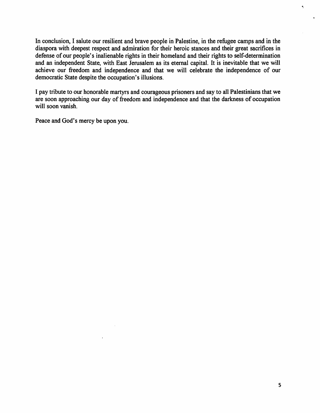In conclusion, I salute our resilient and brave people in Palestine, in the refugee camps and in the diaspora with deepest respect and admiration for their heroic stances and their great sacrifices in defense of our people's inalienable rights in their homeland and their rights to self-determination and an independent State, with East Jerusalem as its eternal capital. It is inevitable that we will achieve our freedom and independence and that we will celebrate the independence of our democratic State despite the occupation's illusions.

I pay tribute to our honorable martyrs and courageous prisoners and say to all Palestinians that we are soon approaching our day of freedom and independence and that the darkness of occupation will soon vanish.

Peace and God's mercy be upon you.

Ł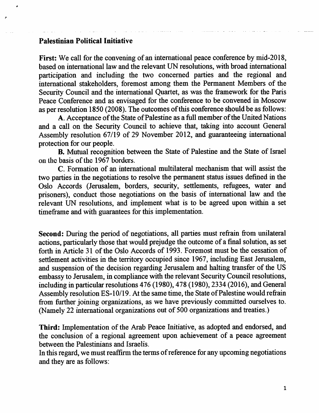### Palestinian Political Initiative

First: We call for the convening of an international peace conference by mid-2018, based on international law and the relevant UN resolutions, with broad international participation and including the two concerned parties and the regional and international stakeholders, foremost among them the Permanent Members of the Security Council and the international Quartet, as was the framework for the Paris Peace Conference and as envisaged for the conference to be convened in Moscow as per resolution 1850 (2008). The outcomes of this conference should be as follows:

A. Acceptance of the State of Palestine as a full member of the United Nations and a call on the Security Council to achieve that, taking into account General Assembly resolution 67/19 of 29 November 2012, and guaranteeing international protection for our people.

B. Mutual recognition between the State of Palestine and the State of Israel on the basis of the 1967 borders.

C. Formation of an international multilateral mechanism that will assist the two parties in the negotiations to resolve the permanent status issues defined in the Oslo Accords (Jerusalem, borders, security, settlements, refugees, water and prisoners), conduct those negotiations on the basis of international law and the relevant UN resolutions, and implement what is to be agreed upon within a set timeframe and with guarantees for this implementation.

Second: During the period of negotiations, all parties must refrain from unilateral actions, particularly those that would prejudge the outcome of a final solution, as set forth in Article 31 of the Oslo Accords of 1993. Foremost must be the cessation of settlement activities in the territory occupied since 1967, including East Jerusalem, and suspension of the decision regarding Jerusalem and halting transfer of the US embassy to Jerusalem, in compliancewith the relevant SecurityCouncil resolutions, including in particular resolutions  $476$  (1980),  $478$  (1980),  $2334$  (2016), and General Assembly resolution ES-10/19. At the same time, the State of Palestine would refrain from further joining organizations, as we have previously committed ourselves to. (Namely 22 international organizations out of 500 organizations and treaties.)

Third: Implementation of the Arab Peace Initiative, as adopted and endorsed, and the conclusion of a regional agreement upon achievement of a peace agreement between the Palestinians and Israelis.

In this regard, we must reaffirm the terms of reference for any upcoming negotiations and they are as follows: